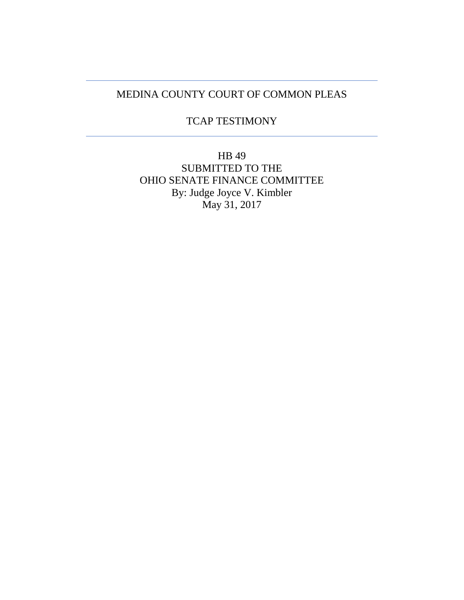## MEDINA COUNTY COURT OF COMMON PLEAS

## TCAP TESTIMONY

HB 49 SUBMITTED TO THE OHIO SENATE FINANCE COMMITTEE By: Judge Joyce V. Kimbler May 31, 2017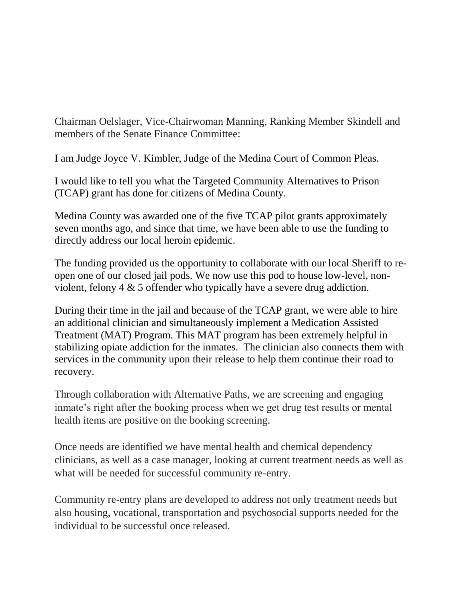Chairman Oelslager, Vice-Chairwoman Manning, Ranking Member Skindell and members of the Senate Finance Committee:

I am Judge Joyce V. Kimbler, Judge of the Medina Court of Common Pleas.

I would like to tell you what the Targeted Community Alternatives to Prison (TCAP) grant has done for citizens of Medina County.

Medina County was awarded one of the five TCAP pilot grants approximately seven months ago, and since that time, we have been able to use the funding to directly address our local heroin epidemic.

The funding provided us the opportunity to collaborate with our local Sheriff to reopen one of our closed jail pods. We now use this pod to house low-level, nonviolent, felony 4 & 5 offender who typically have a severe drug addiction.

During their time in the jail and because of the TCAP grant, we were able to hire an additional clinician and simultaneously implement a Medication Assisted Treatment (MAT) Program. This MAT program has been extremely helpful in stabilizing opiate addiction for the inmates. The clinician also connects them with services in the community upon their release to help them continue their road to recovery.

Through collaboration with Alternative Paths, we are screening and engaging inmate's right after the booking process when we get drug test results or mental health items are positive on the booking screening.

Once needs are identified we have mental health and chemical dependency clinicians, as well as a case manager, looking at current treatment needs as well as what will be needed for successful community re-entry.

Community re-entry plans are developed to address not only treatment needs but also housing, vocational, transportation and psychosocial supports needed for the individual to be successful once released.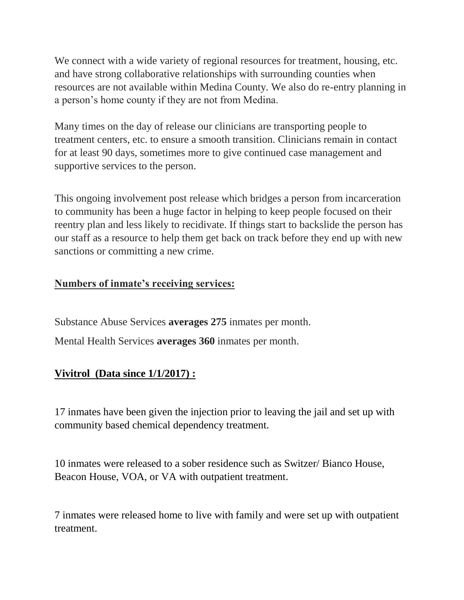We connect with a wide variety of regional resources for treatment, housing, etc. and have strong collaborative relationships with surrounding counties when resources are not available within Medina County. We also do re-entry planning in a person's home county if they are not from Medina.

Many times on the day of release our clinicians are transporting people to treatment centers, etc. to ensure a smooth transition. Clinicians remain in contact for at least 90 days, sometimes more to give continued case management and supportive services to the person.

This ongoing involvement post release which bridges a person from incarceration to community has been a huge factor in helping to keep people focused on their reentry plan and less likely to recidivate. If things start to backslide the person has our staff as a resource to help them get back on track before they end up with new sanctions or committing a new crime.

## **Numbers of inmate's receiving services:**

Substance Abuse Services **averages 275** inmates per month.

Mental Health Services **averages 360** inmates per month.

## **Vivitrol (Data since 1/1/2017) :**

17 inmates have been given the injection prior to leaving the jail and set up with community based chemical dependency treatment.

10 inmates were released to a sober residence such as Switzer/ Bianco House, Beacon House, VOA, or VA with outpatient treatment.

7 inmates were released home to live with family and were set up with outpatient treatment.